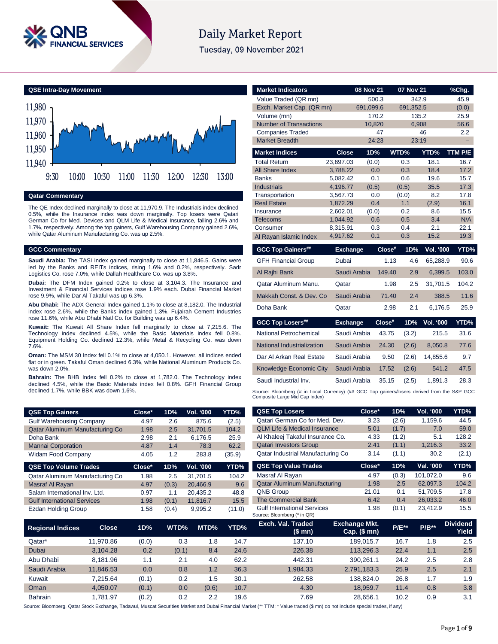

# **Daily Market Report**

Tuesday, 09 November 2021

**QSE Intra-Day Movement**



# **Qatar Commentary**

The QE Index declined marginally to close at 11,970.9. The Industrials index declined 0.5%, while the Insurance index was down marginally. Top losers were Qatari German Co for Med. Devices and QLM Life & Medical Insurance, falling 2.6% and 1.7%, respectively. Among the top gainers, Gulf Warehousing Company gained 2.6%, while Qatar Aluminum Manufacturing Co. was up 2.5%.

### **GCC Commentary**

**Saudi Arabia:** The TASI Index gained marginally to close at 11,846.5. Gains were led by the Banks and REITs indices, rising 1.6% and 0.2%, respectively. Sadr Logistics Co. rose 7.0%, while Dallah Healthcare Co. was up 3.8%.

**Dubai:** The DFM Index gained 0.2% to close at 3,104.3. The Insurance and Investment & Financial Services indices rose 1.9% each. Dubai Financial Market rose 9.9%, while Dar Al Takaful was up 6.3%.

**Abu Dhabi:** The ADX General Index gained 1.1% to close at 8,182.0. The Industrial index rose 2.6%, while the Banks index gained 1.3%. Fujairah Cement Industries rose 11.6%, while Abu Dhabi Natl Co. for Building was up 6.4%.

**Kuwait:** The Kuwait All Share Index fell marginally to close at 7,215.6. The Technology index declined 4.5%, while the Basic Materials index fell 0.8%. Equipment Holding Co. declined 12.3%, while Metal & Recycling Co. was down 7.6%.

**Oman:** The MSM 30 Index fell 0.1% to close at 4,050.1. However, all indices ended flat or in green. Takaful Oman declined 6.3%, while National Aluminum Products Co. was down 2.0%.

**Bahrain:** The BHB Index fell 0.2% to close at 1,782.0. The Technology index declined 4.5%, while the Basic Materials index fell 0.8%. GFH Financial Group declined 1.7%, while BBK was down 1.6%.

| <b>QSE Top Gainers</b>             | Close* | 1D%   | <b>Vol. '000</b> | YTD%   |
|------------------------------------|--------|-------|------------------|--------|
| <b>Gulf Warehousing Company</b>    | 4.97   | 2.6   | 875.6            | (2.5)  |
| Qatar Aluminum Manufacturing Co    | 1.98   | 2.5   | 31,701.5         | 104.2  |
| Doha Bank                          | 2.98   | 2.1   | 6,176.5          | 25.9   |
| <b>Mannai Corporation</b>          | 4.87   | 1.4   | 78.3             | 62.2   |
| <b>Widam Food Company</b>          | 4.05   | 1.2   | 283.8            | (35.9) |
|                                    |        |       |                  |        |
| <b>QSE Top Volume Trades</b>       | Close* | 1D%   | Vol. '000        | YTD%   |
| Qatar Aluminum Manufacturing Co    | 1.98   | 2.5   | 31,701.5         | 104.2  |
| Masraf Al Rayan                    | 4.97   | (0.3) | 20,466.9         | 9.6    |
| Salam International Inv. Ltd.      | 0.97   | 1.1   | 20,435.2         | 48.8   |
| <b>Gulf International Services</b> | 1.98   | (0.1) | 11,816.7         | 15.5   |

| <b>Market Indicators</b>                                                                                                      |                      | 08 Nov 21    |           | 07 Nov 21  |            | %Chg.       |
|-------------------------------------------------------------------------------------------------------------------------------|----------------------|--------------|-----------|------------|------------|-------------|
| Value Traded (QR mn)                                                                                                          |                      | 500.3        |           | 342.9      |            | 45.9        |
| Exch. Market Cap. (QR mn)                                                                                                     |                      | 691,099.6    |           | 691,352.5  |            | (0.0)       |
| Volume (mn)                                                                                                                   |                      | 170.2        |           | 135.2      |            | 25.9        |
| <b>Number of Transactions</b>                                                                                                 |                      | 10,820       |           | 6,908      |            | 56.6        |
| <b>Companies Traded</b>                                                                                                       |                      | 47           |           |            | 46         | 2.2         |
| <b>Market Breadth</b>                                                                                                         |                      | 24:23        |           | 23:19      |            |             |
| <b>Market Indices</b>                                                                                                         | <b>Close</b>         | 1D%          |           | WTD%       | YTD%       | TTM P/E     |
| <b>Total Return</b>                                                                                                           | 23,697.03            | (0.0)        |           | 0.3        | 18.1       | 16.7        |
| <b>All Share Index</b>                                                                                                        | 3,788.22             | 0.0          |           | 0.3        | 18.4       | 17.2        |
| <b>Banks</b>                                                                                                                  | 5.082.42             | 0.1          |           | 0.6        | 19.6       | 15.7        |
| <b>Industrials</b>                                                                                                            | 4,196.77             | (0.5)        |           | (0.5)      | 35.5       | 17.3        |
| Transportation                                                                                                                | 3,567.73             | 0.0          |           | (0.0)      | 8.2        | 17.8        |
| <b>Real Estate</b>                                                                                                            | 1,872.29             | 0.4          |           | 1.1        | (2.9)      | 16.1        |
| Insurance<br>Telecoms                                                                                                         | 2.602.01<br>1,044.92 | (0.0)<br>0.6 |           | 0.2<br>0.5 | 8.6<br>3.4 | 15.5<br>N/A |
| Consumer                                                                                                                      | 8,315.91             | 0.3          |           | 0.4        | 2.1        | 22.1        |
| Al Rayan Islamic Index                                                                                                        | 4,917.62             | 0.1          |           | 0.3        | 15.2       | 19.3        |
|                                                                                                                               |                      |              |           |            |            |             |
| <b>GCC Top Gainers##</b>                                                                                                      | <b>Exchange</b>      |              | Close#    | 1D%        | Vol. '000  | YTD%        |
| <b>GFH Financial Group</b>                                                                                                    | Dubai                |              | 1.13      | 4.6        | 65,288.9   | 90.6        |
| Al Rajhi Bank                                                                                                                 | Saudi Arabia         |              | 149.40    | 2.9        | 6,399.5    | 103.0       |
| Qatar Aluminum Manu.                                                                                                          | Qatar                |              | 1.98      | 2.5        | 31.701.5   | 104.2       |
| Makkah Const, & Dev. Co.                                                                                                      | Saudi Arabia         |              | 71.40     | 2.4        | 388.5      | 11.6        |
| Doha Bank                                                                                                                     | Qatar                |              | 2.98      | 2.1        | 6,176.5    | 25.9        |
| <b>GCC Top Losers##</b>                                                                                                       | <b>Exchange</b>      |              | $Close^*$ | 1D%        | Vol. '000  | YTD%        |
| National Petrochemical                                                                                                        | Saudi Arabia         |              | 43.75     | (3.2)      | 215.5      | 31.6        |
| National Industrialization                                                                                                    | Saudi Arabia         |              | 24.30     | (2.6)      | 8,050.8    | 77.6        |
| Dar Al Arkan Real Estate                                                                                                      | Saudi Arabia         |              | 9.50      | (2.6)      | 14.855.6   | 9.7         |
| Knowledge Economic City                                                                                                       | Saudi Arabia         |              | 17.52     | (2.6)      | 541.2      | 47.5        |
| Saudi Industrial Inv.                                                                                                         | Saudi Arabia         |              | 35.15     | (2.5)      | 1,891.3    | 28.3        |
| Source: Bloomberg (# in Local Currency) (## GCC Top gainers/losers derived from the S&P GCC<br>Composite Large Mid Cap Index) |                      |              |           |            |            |             |
| <b>QSE Top Losers</b>                                                                                                         |                      | Close*       |           | 1D%        | Vol. '000  | YTD%        |
| Qatari German Co for Med. Dev.                                                                                                |                      | 3.23         |           | (2.6)      | 1.159.6    | 44.5        |

| <b>USE TOD Gainers</b>             |              | ∪lose≅ | 1 D'‰ | VOI. 'UUU               | YI D%  | <b>WOL TUP LUSS S</b>                                             | uluse                                | I D /0  | VOI. UUU  | 11U/0                    |
|------------------------------------|--------------|--------|-------|-------------------------|--------|-------------------------------------------------------------------|--------------------------------------|---------|-----------|--------------------------|
| <b>Gulf Warehousing Company</b>    |              | 4.97   | 2.6   | 875.6                   | (2.5)  | Qatari German Co for Med. Dev.                                    | 3.23                                 | (2.6)   | 1,159.6   | 44.5                     |
| Qatar Aluminum Manufacturing Co    |              | 1.98   | 2.5   | 31,701.5                | 104.2  | <b>QLM Life &amp; Medical Insurance</b>                           | 5.01                                 | (1.7)   | 7.0       | 59.0                     |
| Doha Bank                          |              | 2.98   | 2.1   | 6,176.5                 | 25.9   | Al Khaleej Takaful Insurance Co.                                  | 4.33                                 | (1.2)   | 5.1       | 128.2                    |
| <b>Mannai Corporation</b>          |              | 4.87   | 1.4   | 78.3                    | 62.2   | <b>Qatari Investors Group</b>                                     | 2.41                                 | (1.1)   | 1,216.3   | 33.2                     |
| Widam Food Company                 |              | 4.05   | 1.2   | 283.8                   | (35.9) | Qatar Industrial Manufacturing Co                                 | 3.14                                 | (1.1)   | 30.2      | (2.1)                    |
| <b>QSE Top Volume Trades</b>       |              | Close* | 1D%   | Vol. '000               | YTD%   | <b>QSE Top Value Trades</b>                                       | Close*                               | 1D%     | Val. '000 | YTD%                     |
| Qatar Aluminum Manufacturing Co    |              | 1.98   | 2.5   | 31,701.5                | 104.2  | Masraf Al Rayan                                                   | 4.97                                 | (0.3)   | 101,072.0 | 9.6                      |
| <b>Masraf Al Rayan</b>             |              | 4.97   | (0.3) | 20,466.9                | 9.6    | Qatar Aluminum Manufacturing                                      | 1.98                                 | 2.5     | 62,097.3  | 104.2                    |
| Salam International Inv. Ltd.      |              | 0.97   | 1.1   | 20,435.2                | 48.8   | <b>QNB Group</b>                                                  | 21.01                                | 0.1     | 51,709.5  | 17.8                     |
| <b>Gulf International Services</b> |              | 1.98   | (0.1) | 11,816.7                | 15.5   | <b>The Commercial Bank</b>                                        | 6.42                                 | 0.4     | 26,033.2  | 46.0                     |
| Ezdan Holding Group                |              | 1.58   | (0.4) | 9,995.2                 | (11.0) | <b>Gulf International Services</b><br>Source: Bloomberg (* in QR) | 1.98                                 | (0.1)   | 23,412.9  | 15.5                     |
| <b>Regional Indices</b>            | <b>Close</b> | 1D%    | WTD%  | MTD%                    | YTD%   | Exch. Val. Traded<br>(\$ mn)                                      | <b>Exchange Mkt.</b><br>Cap. $($mn)$ | $P/E**$ | $P/B**$   | <b>Dividend</b><br>Yield |
| Qatar*                             | 11,970.86    | (0.0)  |       | 0.3<br>1.8              | 14.7   | 137.10                                                            | 189,015.7                            | 16.7    | 1.8       | 2.5                      |
| <b>Dubai</b>                       | 3,104.28     | 0.2    | (0.1) | 8.4                     | 24.6   | 226.38                                                            | 113,296.3                            | 22.4    | 1.1       | 2.5                      |
| Abu Dhabi                          | 8,181.96     | 1.1    |       | 2.1<br>4.0              | 62.2   | 442.31                                                            | 390,261.1                            | 24.2    | 2.5       | 2.8                      |
| Saudi Arabia                       | 11,846.53    | 0.0    |       | 0.8<br>1.2              | 36.3   | 1,984.33                                                          | 2,791,183.3                          | 25.9    | 2.5       | 2.1                      |
| Kuwait                             | 7,215.64     | (0.1)  |       | 0.2<br>1.5              | 30.1   | 262.58                                                            | 138,824.0                            | 26.8    | 1.7       | 1.9                      |
| Oman                               | 4,050.07     | (0.1)  |       | 0.0<br>(0.6)            | 10.7   | 4.30                                                              | 18,959.7                             | 11.4    | 0.8       | 3.8                      |
| Bahrain                            | 1,781.97     | (0.2)  |       | 0.2<br>$2.2\phantom{0}$ | 19.6   | 7.69                                                              | 28,656.1                             | 10.2    | 0.9       | 3.1                      |

Source: Bloomberg, Qatar Stock Exchange, Tadawul, Muscat Securities Market and Dubai Financial Market (\*\* TTM; \* Value traded (\$ mn) do not include special trades, if any)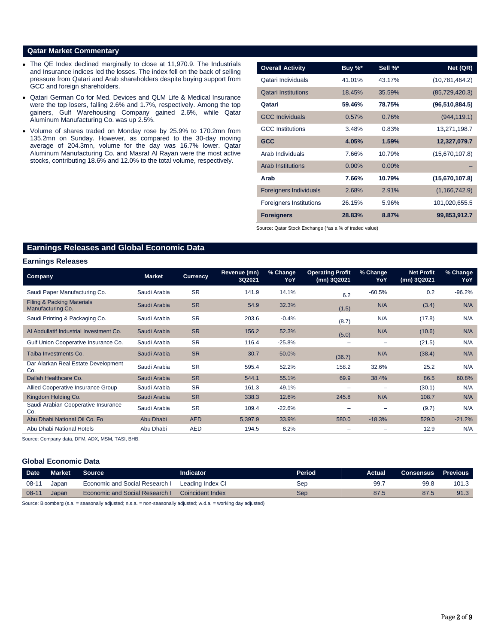# **Qatar Market Commentary**

- The QE Index declined marginally to close at 11,970.9. The Industrials and Insurance indices led the losses. The index fell on the back of selling pressure from Qatari and Arab shareholders despite buying support from GCC and foreign shareholders.
- Qatari German Co for Med. Devices and QLM Life & Medical Insurance were the top losers, falling 2.6% and 1.7%, respectively. Among the top gainers, Gulf Warehousing Company gained 2.6%, while Qatar Aluminum Manufacturing Co. was up 2.5%.
- Volume of shares traded on Monday rose by 25.9% to 170.2mn from 135.2mn on Sunday. However, as compared to the 30-day moving average of 204.3mn, volume for the day was 16.7% lower. Qatar Aluminum Manufacturing Co. and Masraf Al Rayan were the most active stocks, contributing 18.6% and 12.0% to the total volume, respectively.

| <b>Overall Activity</b>        | Buy %*   | Sell %*  | Net (QR)         |
|--------------------------------|----------|----------|------------------|
| Qatari Individuals             | 41.01%   | 43.17%   | (10,781,464.2)   |
| <b>Qatari Institutions</b>     | 18.45%   | 35.59%   | (85, 729, 420.3) |
| Qatari                         | 59.46%   | 78.75%   | (96, 510, 884.5) |
| <b>GCC Individuals</b>         | 0.57%    | 0.76%    | (944, 119.1)     |
| <b>GCC</b> Institutions        | 3.48%    | 0.83%    | 13,271,198.7     |
| <b>GCC</b>                     | 4.05%    | 1.59%    | 12,327,079.7     |
| Arab Individuals               | 7.66%    | 10.79%   | (15,670,107.8)   |
| <b>Arab Institutions</b>       | $0.00\%$ | $0.00\%$ |                  |
| Arab                           | 7.66%    | 10.79%   | (15,670,107.8)   |
| <b>Foreigners Individuals</b>  | 2.68%    | 2.91%    | (1, 166, 742.9)  |
| <b>Foreigners Institutions</b> | 26.15%   | 5.96%    | 101,020,655.5    |
| <b>Foreigners</b>              | 28.83%   | 8.87%    | 99,853,912.7     |

Source: Qatar Stock Exchange (\*as a % of traded value)

# **Earnings Releases and Global Economic Data**

#### **Earnings Releases**

| <b>Company</b>                                             | <b>Market</b> | <b>Currency</b> | Revenue (mn)<br>3Q2021 | % Change<br>YoY | <b>Operating Profit</b><br>(mn) 3Q2021 | % Change<br>YoY          | <b>Net Profit</b><br>(mn) 3Q2021 | % Change<br>YoY |
|------------------------------------------------------------|---------------|-----------------|------------------------|-----------------|----------------------------------------|--------------------------|----------------------------------|-----------------|
| Saudi Paper Manufacturing Co.                              | Saudi Arabia  | <b>SR</b>       | 141.9                  | 14.1%           | 6.2                                    | $-60.5%$                 | 0.2                              | $-96.2%$        |
| <b>Filing &amp; Packing Materials</b><br>Manufacturing Co. | Saudi Arabia  | <b>SR</b>       | 54.9                   | 32.3%           | (1.5)                                  | N/A                      | (3.4)                            | N/A             |
| Saudi Printing & Packaging Co.                             | Saudi Arabia  | <b>SR</b>       | 203.6                  | $-0.4%$         | (8.7)                                  | N/A                      | (17.8)                           | N/A             |
| Al Abdullatif Industrial Investment Co.                    | Saudi Arabia  | <b>SR</b>       | 156.2                  | 52.3%           | (5.0)                                  | N/A                      | (10.6)                           | N/A             |
| Gulf Union Cooperative Insurance Co.                       | Saudi Arabia  | <b>SR</b>       | 116.4                  | $-25.8%$        |                                        | $\overline{\phantom{a}}$ | (21.5)                           | N/A             |
| Taiba Investments Co.                                      | Saudi Arabia  | <b>SR</b>       | 30.7                   | $-50.0%$        | (36.7)                                 | N/A                      | (38.4)                           | N/A             |
| Dar Alarkan Real Estate Development<br>Co.                 | Saudi Arabia  | <b>SR</b>       | 595.4                  | 52.2%           | 158.2                                  | 32.6%                    | 25.2                             | N/A             |
| Dallah Healthcare Co.                                      | Saudi Arabia  | <b>SR</b>       | 544.1                  | 55.1%           | 69.9                                   | 38.4%                    | 86.5                             | 60.8%           |
| Allied Cooperative Insurance Group                         | Saudi Arabia  | <b>SR</b>       | 161.3                  | 49.1%           | $\overline{\phantom{a}}$               |                          | (30.1)                           | N/A             |
| Kingdom Holding Co.                                        | Saudi Arabia  | <b>SR</b>       | 338.3                  | 12.6%           | 245.8                                  | N/A                      | 108.7                            | N/A             |
| Saudi Arabian Cooperative Insurance<br>Co.                 | Saudi Arabia  | <b>SR</b>       | 109.4                  | $-22.6%$        |                                        | $\overline{\phantom{0}}$ | (9.7)                            | N/A             |
| Abu Dhabi National Oil Co. Fo                              | Abu Dhabi     | <b>AED</b>      | 5,397.9                | 33.9%           | 580.0                                  | $-18.3%$                 | 529.0                            | $-21.2%$        |
| Abu Dhabi National Hotels                                  | Abu Dhabi     | <b>AED</b>      | 194.5                  | 8.2%            |                                        |                          | 12.9                             | N/A             |

Source: Company data, DFM, ADX, MSM, TASI, BHB.

### **Global Economic Data**

| <b>Date</b> | <b>Market</b> | <b>Source</b>                  | <b>Indicator</b> | Period | Actual | Consensus | <b>Previous</b> |
|-------------|---------------|--------------------------------|------------------|--------|--------|-----------|-----------------|
| $08-1'$     | Japan         | Economic and Social Research I | Leading Index CI | Ser    | -99.7  | 99.8      | 101.3           |
| $08-1'$     | Japan         | Economic and Social Research I | Coincident Index | Sep    | 87.5   | 87.5      | 91.3            |

Source: Bloomberg (s.a. = seasonally adjusted; n.s.a. = non-seasonally adjusted; w.d.a. = working day adjusted)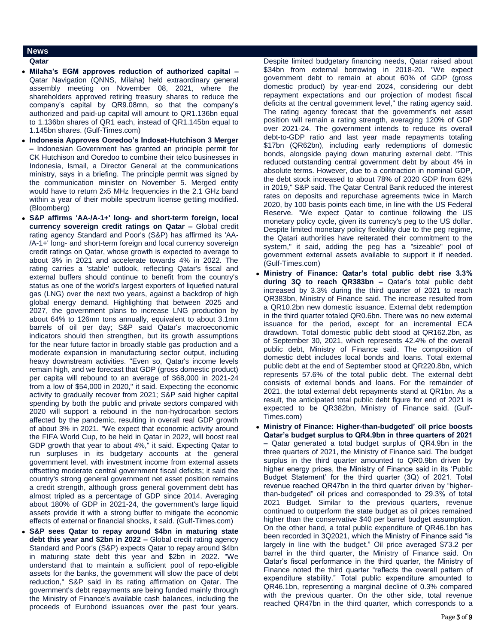# **News**

### **Qatar**

- **Milaha's EGM approves reduction of authorized capital –** Qatar Navigation (QNNS, Milaha) held extraordinary general assembly meeting on November 08, 2021, where the shareholders approved retiring treasury shares to reduce the company's capital by QR9.08mn, so that the company's authorized and paid-up capital will amount to QR1.136bn equal to 1.136bn shares of QR1 each, instead of QR1.145bn equal to 1.145bn shares. (Gulf-Times.com)
- **Indonesia Approves Ooredoo's Indosat-Hutchison 3 Merger –** Indonesian Government has granted an principle permit for CK Hutchison and Ooredoo to combine their telco businesses in Indonesia, Ismail, a Director General at the communications ministry, says in a briefing. The principle permit was signed by the communication minister on November 5. Merged entity would have to return 2x5 MHz frequencies in the 2.1 GHz band within a year of their mobile spectrum license getting modified. (Bloomberg)
- **S&P affirms 'AA-/A-1+' long- and short-term foreign, local currency sovereign credit ratings on Qatar –** Global credit rating agency Standard and Poor's (S&P) has affirmed its 'AA- /A-1+' long- and short-term foreign and local currency sovereign credit ratings on Qatar, whose growth is expected to average to about 3% in 2021 and accelerate towards 4% in 2022. The rating carries a 'stable' outlook, reflecting Qatar's fiscal and external buffers should continue to benefit from the country's status as one of the world's largest exporters of liquefied natural gas (LNG) over the next two years, against a backdrop of high global energy demand. Highlighting that between 2025 and 2027, the government plans to increase LNG production by about 64% to 126mn tons annually, equivalent to about 3.1mn barrels of oil per day; S&P said Qatar's macroeconomic indicators should then strengthen, but its growth assumptions for the near future factor in broadly stable gas production and a moderate expansion in manufacturing sector output, including heavy downstream activities. "Even so, Qatar's income levels remain high, and we forecast that GDP (gross domestic product) per capita will rebound to an average of \$68,000 in 2021-24 from a low of \$54,000 in 2020," it said. Expecting the economic activity to gradually recover from 2021; S&P said higher capital spending by both the public and private sectors compared with 2020 will support a rebound in the non-hydrocarbon sectors affected by the pandemic, resulting in overall real GDP growth of about 3% in 2021. "We expect that economic activity around the FIFA World Cup, to be held in Qatar in 2022, will boost real GDP growth that year to about 4%," it said. Expecting Qatar to run surpluses in its budgetary accounts at the general government level, with investment income from external assets offsetting moderate central government fiscal deficits; it said the country's strong general government net asset position remains a credit strength, although gross general government debt has almost tripled as a percentage of GDP since 2014. Averaging about 180% of GDP in 2021-24, the government's large liquid assets provide it with a strong buffer to mitigate the economic effects of external or financial shocks, it said. (Gulf-Times.com)
- **S&P sees Qatar to repay around \$4bn in maturing state debt this year and \$2bn in 2022 –** Global credit rating agency Standard and Poor's (S&P) expects Qatar to repay around \$4bn in maturing state debt this year and \$2bn in 2022. "We understand that to maintain a sufficient pool of repo-eligible assets for the banks, the government will slow the pace of debt reduction," S&P said in its rating affirmation on Qatar. The government's debt repayments are being funded mainly through the Ministry of Finance's available cash balances, including the proceeds of Eurobond issuances over the past four years.

Despite limited budgetary financing needs, Qatar raised about \$34bn from external borrowing in 2018-20. "We expect government debt to remain at about 60% of GDP (gross domestic product) by year-end 2024, considering our debt repayment expectations and our projection of modest fiscal deficits at the central government level," the rating agency said. The rating agency forecast that the government's net asset position will remain a rating strength, averaging 120% of GDP over 2021-24. The government intends to reduce its overall debt-to-GDP ratio and last year made repayments totaling \$17bn (QR62bn), including early redemptions of domestic bonds, alongside paying down maturing external debt. "This reduced outstanding central government debt by about 4% in absolute terms. However, due to a contraction in nominal GDP, the debt stock increased to about 78% of 2020 GDP from 62% in 2019," S&P said. The Qatar Central Bank reduced the interest rates on deposits and repurchase agreements twice in March 2020, by 100 basis points each time, in line with the US Federal Reserve. "We expect Qatar to continue following the US monetary policy cycle, given its currency's peg to the US dollar. Despite limited monetary policy flexibility due to the peg regime, the Qatari authorities have reiterated their commitment to the system," it said, adding the peg has a "sizeable" pool of government external assets available to support it if needed. (Gulf-Times.com)

- **Ministry of Finance: Qatar's total public debt rise 3.3% during 3Q to reach QR383bn –** Qatar's total public debt increased by 3.3% during the third quarter of 2021 to reach QR383bn, Ministry of Finance said. The increase resulted from a QR10.2bn new domestic issuance. External debt redemption in the third quarter totaled QR0.6bn. There was no new external issuance for the period, except for an incremental ECA drawdown. Total domestic public debt stood at QR162.2bn, as of September 30, 2021, which represents 42.4% of the overall public debt, Ministry of Finance said. The composition of domestic debt includes local bonds and loans. Total external public debt at the end of September stood at QR220.8bn, which represents 57.6% of the total public debt. The external debt consists of external bonds and loans. For the remainder of 2021, the total external debt repayments stand at QR1bn. As a result, the anticipated total public debt figure for end of 2021 is expected to be QR382bn, Ministry of Finance said. (Gulf-Times.com)
- **Ministry of Finance: Higher-than-budgeted' oil price boosts Qatar's budget surplus to QR4.9bn in three quarters of 2021 –** Qatar generated a total budget surplus of QR4.9bn in the three quarters of 2021, the Ministry of Finance said. The budget surplus in the third quarter amounted to QR0.9bn driven by higher energy prices, the Ministry of Finance said in its 'Public Budget Statement' for the third quarter (3Q) of 2021. Total revenue reached QR47bn in the third quarter driven by "higherthan-budgeted" oil prices and corresponded to 29.3% of total 2021 Budget. Similar to the previous quarters, revenue continued to outperform the state budget as oil prices remained higher than the conservative \$40 per barrel budget assumption. On the other hand, a total public expenditure of QR46.1bn has been recorded in 3Q2021, which the Ministry of Finance said "is largely in line with the budget." Oil price averaged \$73.2 per barrel in the third quarter, the Ministry of Finance said. On Qatar's fiscal performance in the third quarter, the Ministry of Finance noted the third quarter "reflects the overall pattern of expenditure stability." Total public expenditure amounted to QR46.1bn, representing a marginal decline of 0.3% compared with the previous quarter. On the other side, total revenue reached QR47bn in the third quarter, which corresponds to a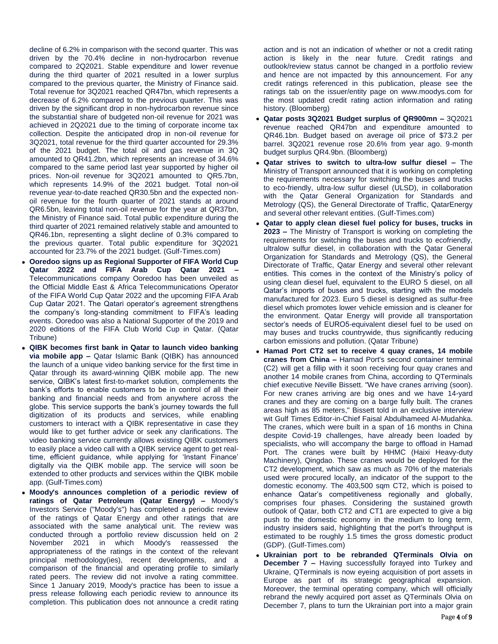decline of 6.2% in comparison with the second quarter. This was driven by the 70.4% decline in non-hydrocarbon revenue compared to 2Q2021. Stable expenditure and lower revenue during the third quarter of 2021 resulted in a lower surplus compared to the previous quarter, the Ministry of Finance said. Total revenue for 3Q2021 reached QR47bn, which represents a decrease of 6.2% compared to the previous quarter. This was driven by the significant drop in non-hydrocarbon revenue since the substantial share of budgeted non-oil revenue for 2021 was achieved in 2Q2021 due to the timing of corporate income tax collection. Despite the anticipated drop in non-oil revenue for 3Q2021, total revenue for the third quarter accounted for 29.3% of the 2021 budget. The total oil and gas revenue in 3Q amounted to QR41.2bn, which represents an increase of 34.6% compared to the same period last year supported by higher oil prices. Non-oil revenue for 3Q2021 amounted to QR5.7bn, which represents 14.9% of the 2021 budget. Total non-oil revenue year-to-date reached QR30.5bn and the expected nonoil revenue for the fourth quarter of 2021 stands at around QR6.5bn, leaving total non-oil revenue for the year at QR37bn, the Ministry of Finance said. Total public expenditure during the third quarter of 2021 remained relatively stable and amounted to QR46.1bn, representing a slight decline of 0.3% compared to the previous quarter. Total public expenditure for 3Q2021 accounted for 23.7% of the 2021 budget. (Gulf-Times.com)

- **Ooredoo signs up as Regional Supporter of FIFA World Cup Qatar 2022 and FIFA Arab Cup Qatar 2021 –** Telecommunications company Ooredoo has been unveiled as the Official Middle East & Africa Telecommunications Operator of the FIFA World Cup Qatar 2022 and the upcoming FIFA Arab Cup Qatar 2021. The Qatari operator's agreement strengthens the company's long-standing commitment to FIFA's leading events. Ooredoo was also a National Supporter of the 2019 and 2020 editions of the FIFA Club World Cup in Qatar. (Qatar Tribune)
- **QIBK becomes first bank in Qatar to launch video banking via mobile app –** Qatar Islamic Bank (QIBK) has announced the launch of a unique video banking service for the first time in Qatar through its award-winning QIBK mobile app. The new service, QIBK's latest first-to-market solution, complements the bank's efforts to enable customers to be in control of all their banking and financial needs and from anywhere across the globe. This service supports the bank's journey towards the full digitization of its products and services, while enabling customers to interact with a QIBK representative in case they would like to get further advice or seek any clarifications. The video banking service currently allows existing QIBK customers to easily place a video call with a QIBK service agent to get realtime, efficient guidance, while applying for 'Instant Finance' digitally via the QIBK mobile app. The service will soon be extended to other products and services within the QIBK mobile app. (Gulf-Times.com)
- **Moody's announces completion of a periodic review of ratings of Qatar Petroleum (Qatar Energy) –** Moody's Investors Service ("Moody's") has completed a periodic review of the ratings of Qatar Energy and other ratings that are associated with the same analytical unit. The review was conducted through a portfolio review discussion held on 2 November 2021 in which Moody's reassessed the appropriateness of the ratings in the context of the relevant principal methodology(ies), recent developments, and a comparison of the financial and operating profile to similarly rated peers. The review did not involve a rating committee. Since 1 January 2019, Moody's practice has been to issue a press release following each periodic review to announce its completion. This publication does not announce a credit rating

action and is not an indication of whether or not a credit rating action is likely in the near future. Credit ratings and outlook/review status cannot be changed in a portfolio review and hence are not impacted by this announcement. For any credit ratings referenced in this publication, please see the ratings tab on the issuer/entity page on www.moodys.com for the most updated credit rating action information and rating history. (Bloomberg)

- **Qatar posts 3Q2021 Budget surplus of QR900mn –** 3Q2021 revenue reached QR47bn and expenditure amounted to QR46.1bn. Budget based on average oil price of \$73.2 per barrel. 3Q2021 revenue rose 20.6% from year ago. 9-month budget surplus QR4.9bn. (Bloomberg)
- **Qatar strives to switch to ultra-low sulfur diesel –** The Ministry of Transport announced that it is working on completing the requirements necessary for switching the buses and trucks to eco-friendly, ultra-low sulfur diesel (ULSD), in collaboration with the Qatar General Organization for Standards and Metrology (QS), the General Directorate of Traffic, QatarEnergy and several other relevant entities. (Gulf-Times.com)
- **Qatar to apply clean diesel fuel policy for buses, trucks in 2023 –** The Ministry of Transport is working on completing the requirements for switching the buses and trucks to ecofriendly, ultralow sulfur diesel, in collaboration with the Qatar General Organization for Standards and Metrology (QS), the General Directorate of Traffic, Qatar Energy and several other relevant entities. This comes in the context of the Ministry's policy of using clean diesel fuel, equivalent to the EURO 5 diesel, on all Qatar's imports of buses and trucks, starting with the models manufactured for 2023. Euro 5 diesel is designed as sulfur-free diesel which promotes lower vehicle emission and is cleaner for the environment. Qatar Energy will provide all transportation sector's needs of EURO5-equivalent diesel fuel to be used on may buses and trucks countrywide, thus significantly reducing carbon emissions and pollution. (Qatar Tribune)
- **Hamad Port CT2 set to receive 4 quay cranes, 14 mobile cranes from China –** Hamad Port's second container terminal (C2) will get a fillip with it soon receiving four quay cranes and another 14 mobile cranes from China, according to QTerminals chief executive Neville Bissett. "We have cranes arriving (soon). For new cranes arriving are big ones and we have 14-yard cranes and they are coming on a barge fully built. The cranes areas high as 85 meters," Bissett told in an exclusive interview wit Gulf Times Editor-in-Chief Faisal Abdulhameed Al-Mudahka. The cranes, which were built in a span of 16 months in China despite Covid-19 challenges, have already been loaded by specialists, who will accompany the barge to offload in Hamad Port. The cranes were built by HHMC (Haixi Heavy-duty Machinery), Qingdao. These cranes would be deployed for the CT2 development, which saw as much as 70% of the materials used were procured locally, an indicator of the support to the domestic economy. The 403,500 sqm CT2, which is poised to enhance Qatar's competitiveness regionally and globally, comprises four phases. Considering the sustained growth outlook of Qatar, both CT2 and CT1 are expected to give a big push to the domestic economy in the medium to long term, industry insiders said, highlighting that the port's throughput is estimated to be roughly 1.5 times the gross domestic product (GDP). (Gulf-Times.com)
- **Ukrainian port to be rebranded QTerminals Olvia on December 7 –** Having successfully forayed into Turkey and Ukraine, QTerminals is now eyeing acquisition of port assets in Europe as part of its strategic geographical expansion. Moreover, the terminal operating company, which will officially rebrand the newly acquired port asset as QTerminals Olvia on December 7, plans to turn the Ukrainian port into a major grain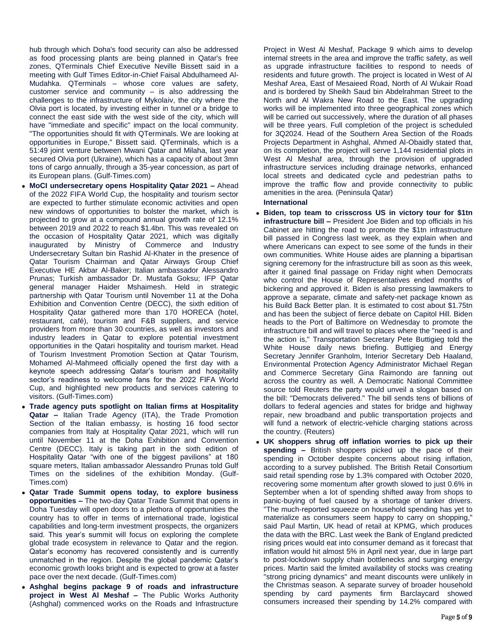hub through which Doha's food security can also be addressed as food processing plants are being planned in Qatar's free zones, QTerminals Chief Executive Neville Bissett said in a meeting with Gulf Times Editor-in-Chief Faisal Abdulhameed Al-Mudahka. QTerminals – whose core values are safety, customer service and community – is also addressing the challenges to the infrastructure of Mykolaiv, the city where the Olvia port is located, by investing either in tunnel or a bridge to connect the east side with the west side of the city, which will have "immediate and specific" impact on the local community. "The opportunities should fit with QTerminals. We are looking at opportunities in Europe," Bissett said. QTerminals, which is a 51:49 joint venture between Mwani Qatar and Milaha, last year secured Olvia port (Ukraine), which has a capacity of about 3mn tons of cargo annually, through a 35-year concession, as part of its European plans. (Gulf-Times.com)

- **MoCI undersecretary opens Hospitality Qatar 2021 –** Ahead of the 2022 FIFA World Cup, the hospitality and tourism sector are expected to further stimulate economic activities and open new windows of opportunities to bolster the market, which is projected to grow at a compound annual growth rate of 12.1% between 2019 and 2022 to reach \$1.4bn. This was revealed on the occasion of Hospitality Qatar 2021, which was digitally inaugurated by Ministry of Commerce and Industry Undersecretary Sultan bin Rashid Al-Khater in the presence of Qatar Tourism Chairman and Qatar Airways Group Chief Executive HE Akbar Al-Baker; Italian ambassador Alessandro Prunas; Turkish ambassador Dr. Mustafa Goksu; IFP Qatar general manager Haider Mshaimesh. Held in strategic partnership with Qatar Tourism until November 11 at the Doha Exhibition and Convention Centre (DECC), the sixth edition of Hospitality Qatar gathered more than 170 HORECA (hotel, restaurant, café), tourism and F&B suppliers, and service providers from more than 30 countries, as well as investors and industry leaders in Qatar to explore potential investment opportunities in the Qatari hospitality and tourism market. Head of Tourism Investment Promotion Section at Qatar Tourism, Mohamed Al-Mahmeed officially opened the first day with a keynote speech addressing Qatar's tourism and hospitality sector's readiness to welcome fans for the 2022 FIFA World Cup, and highlighted new products and services catering to visitors. (Gulf-Times.com)
- **Trade agency puts spotlight on Italian firms at Hospitality Qatar –** Italian Trade Agency (ITA), the Trade Promotion Section of the Italian embassy, is hosting 16 food sector companies from Italy at Hospitality Qatar 2021, which will run until November 11 at the Doha Exhibition and Convention Centre (DECC). Italy is taking part in the sixth edition of Hospitality Qatar "with one of the biggest pavilions" at 180 square meters, Italian ambassador Alessandro Prunas told Gulf Times on the sidelines of the exhibition Monday. (Gulf-Times.com)
- **Qatar Trade Summit opens today, to explore business opportunities –** The two-day Qatar Trade Summit that opens in Doha Tuesday will open doors to a plethora of opportunities the country has to offer in terms of international trade, logistical capabilities and long-term investment prospects, the organizers said. This year's summit will focus on exploring the complete global trade ecosystem in relevance to Qatar and the region. Qatar's economy has recovered consistently and is currently unmatched in the region. Despite the global pandemic Qatar's economic growth looks bright and is expected to grow at a faster pace over the next decade. (Gulf-Times.com)
- **Ashghal begins package 9 of roads and infrastructure project in West Al Meshaf –** The Public Works Authority (Ashghal) commenced works on the Roads and Infrastructure

Project in West Al Meshaf, Package 9 which aims to develop internal streets in the area and improve the traffic safety, as well as upgrade infrastructure facilities to respond to needs of residents and future growth. The project is located in West of Al Meshaf Area, East of Mesaieed Road, North of Al Wukair Road and is bordered by Sheikh Saud bin Abdelrahman Street to the North and Al Wakra New Road to the East. The upgrading works will be implemented into three geographical zones which will be carried out successively, where the duration of all phases will be three years. Full completion of the project is scheduled for 3Q2024. Head of the Southern Area Section of the Roads Projects Department in Ashghal, Ahmed Al-Obaidly stated that, on its completion, the project will serve 1,144 residential plots in West Al Meshaf area, through the provision of upgraded infrastructure services including drainage networks, enhanced local streets and dedicated cycle and pedestrian paths to improve the traffic flow and provide connectivity to public amenities in the area. (Peninsula Qatar)

# **International**

- **Biden, top team to crisscross US in victory tour for \$1tn infrastructure bill –** President Joe Biden and top officials in his Cabinet are hitting the road to promote the \$1tn infrastructure bill passed in Congress last week, as they explain when and where Americans can expect to see some of the funds in their own communities. White House aides are planning a bipartisan signing ceremony for the infrastructure bill as soon as this week, after it gained final passage on Friday night when Democrats who control the House of Representatives ended months of bickering and approved it. Biden is also pressing lawmakers to approve a separate, climate and safety-net package known as his Build Back Better plan. It is estimated to cost about \$1.75tn and has been the subject of fierce debate on Capitol Hill. Biden heads to the Port of Baltimore on Wednesday to promote the infrastructure bill and will travel to places where the "need is and the action is," Transportation Secretary Pete Buttigieg told the White House daily news briefing. Buttigieg and Energy Secretary Jennifer Granholm, Interior Secretary Deb Haaland, Environmental Protection Agency Administrator Michael Regan and Commerce Secretary Gina Raimondo are fanning out across the country as well. A Democratic National Committee source told Reuters the party would unveil a slogan based on the bill: "Democrats delivered." The bill sends tens of billions of dollars to federal agencies and states for bridge and highway repair, new broadband and public transportation projects and will fund a network of electric-vehicle charging stations across the country. (Reuters)
- **UK shoppers shrug off inflation worries to pick up their spending –** British shoppers picked up the pace of their spending in October despite concerns about rising inflation, according to a survey published. The British Retail Consortium said retail spending rose by 1.3% compared with October 2020, recovering some momentum after growth slowed to just 0.6% in September when a lot of spending shifted away from shops to panic-buying of fuel caused by a shortage of tanker drivers. "The much-reported squeeze on household spending has yet to materialize as consumers seem happy to carry on shopping," said Paul Martin, UK head of retail at KPMG, which produces the data with the BRC. Last week the Bank of England predicted rising prices would eat into consumer demand as it forecast that inflation would hit almost 5% in April next year, due in large part to post-lockdown supply chain bottlenecks and surging energy prices. Martin said the limited availability of stocks was creating "strong pricing dynamics" and meant discounts were unlikely in the Christmas season. A separate survey of broader household spending by card payments firm Barclaycard showed consumers increased their spending by 14.2% compared with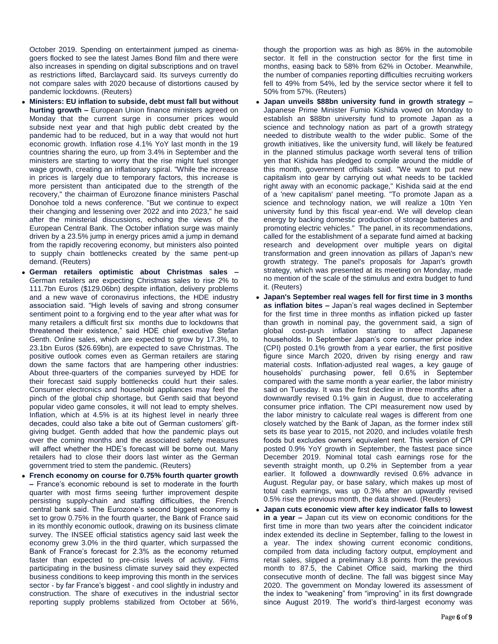October 2019. Spending on entertainment jumped as cinemagoers flocked to see the latest James Bond film and there were also increases in spending on digital subscriptions and on travel as restrictions lifted, Barclaycard said. Its surveys currently do not compare sales with 2020 because of distortions caused by pandemic lockdowns. (Reuters)

- **Ministers: EU inflation to subside, debt must fall but without hurting growth –** European Union finance ministers agreed on Monday that the current surge in consumer prices would subside next year and that high public debt created by the pandemic had to be reduced, but in a way that would not hurt economic growth. Inflation rose 4.1% YoY last month in the 19 countries sharing the euro, up from 3.4% in September and the ministers are starting to worry that the rise might fuel stronger wage growth, creating an inflationary spiral. "While the increase in prices is largely due to temporary factors, this increase is more persistent than anticipated due to the strength of the recovery," the chairman of Eurozone finance ministers Paschal Donohoe told a news conference. "But we continue to expect their changing and lessening over 2022 and into 2023," he said after the ministerial discussions, echoing the views of the European Central Bank. The October inflation surge was mainly driven by a 23.5% jump in energy prices amid a jump in demand from the rapidly recovering economy, but ministers also pointed to supply chain bottlenecks created by the same pent-up demand. (Reuters)
- **German retailers optimistic about Christmas sales –** German retailers are expecting Christmas sales to rise 2% to 111.7bn Euros (\$129.06bn) despite inflation, delivery problems and a new wave of coronavirus infections, the HDE industry association said. "High levels of saving and strong consumer sentiment point to a forgiving end to the year after what was for many retailers a difficult first six months due to lockdowns that threatened their existence," said HDE chief executive Stefan Genth. Online sales, which are expected to grow by 17.3%, to 23.1bn Euros (\$26.69bn), are expected to save Christmas. The positive outlook comes even as German retailers are staring down the same factors that are hampering other industries: About three-quarters of the companies surveyed by HDE for their forecast said supply bottlenecks could hurt their sales. Consumer electronics and household appliances may feel the pinch of the global chip shortage, but Genth said that beyond popular video game consoles, it will not lead to empty shelves. Inflation, which at 4.5% is at its highest level in nearly three decades, could also take a bite out of German customers' giftgiving budget. Genth added that how the pandemic plays out over the coming months and the associated safety measures will affect whether the HDE's forecast will be borne out. Many retailers had to close their doors last winter as the German government tried to stem the pandemic. (Reuters)
- **French economy on course for 0.75% fourth quarter growth –** France's economic rebound is set to moderate in the fourth quarter with most firms seeing further improvement despite persisting supply-chain and staffing difficulties, the French central bank said. The Eurozone's second biggest economy is set to grow 0.75% in the fourth quarter, the Bank of France said in its monthly economic outlook, drawing on its business climate survey. The INSEE official statistics agency said last week the economy grew 3.0% in the third quarter, which surpassed the Bank of France's forecast for 2.3% as the economy returned faster than expected to pre-crisis levels of activity. Firms participating in the business climate survey said they expected business conditions to keep improving this month in the services sector - by far France's biggest - and cool slightly in industry and construction. The share of executives in the industrial sector reporting supply problems stabilized from October at 56%,

though the proportion was as high as 86% in the automobile sector. It fell in the construction sector for the first time in months, easing back to 58% from 62% in October. Meanwhile, the number of companies reporting difficulties recruiting workers fell to 49% from 54%, led by the service sector where it fell to 50% from 57%. (Reuters)

- **Japan unveils \$88bn university fund in growth strategy –** Japanese Prime Minister Fumio Kishida vowed on Monday to establish an \$88bn university fund to promote Japan as a science and technology nation as part of a growth strategy needed to distribute wealth to the wider public. Some of the growth initiatives, like the university fund, will likely be featured in the planned stimulus package worth several tens of trillion yen that Kishida has pledged to compile around the middle of this month, government officials said. "We want to put new capitalism into gear by carrying out what needs to be tackled right away with an economic package," Kishida said at the end of a 'new capitalism' panel meeting. "To promote Japan as a science and technology nation, we will realize a 10tn Yen university fund by this fiscal year-end. We will develop clean energy by backing domestic production of storage batteries and promoting electric vehicles." The panel, in its recommendations, called for the establishment of a separate fund aimed at backing research and development over multiple years on digital transformation and green innovation as pillars of Japan's new growth strategy. The panel's proposals for Japan's growth strategy, which was presented at its meeting on Monday, made no mention of the scale of the stimulus and extra budget to fund it. (Reuters)
- **Japan's September real wages fell for first time in 3 months as inflation bites –** Japan's real wages declined in September for the first time in three months as inflation picked up faster than growth in nominal pay, the government said, a sign of global cost-push inflation starting to affect Japanese households. In September Japan's core consumer price index (CPI) posted 0.1% growth from a year earlier, the first positive figure since March 2020, driven by rising energy and raw material costs. Inflation-adjusted real wages, a key gauge of households' purchasing power, fell 0.6% in September compared with the same month a year earlier, the labor ministry said on Tuesday. It was the first decline in three months after a downwardly revised 0.1% gain in August, due to accelerating consumer price inflation. The CPI measurement now used by the labor ministry to calculate real wages is different from one closely watched by the Bank of Japan, as the former index still sets its base year to 2015, not 2020, and includes volatile fresh foods but excludes owners' equivalent rent. This version of CPI posted 0.9% YoY growth in September, the fastest pace since December 2019. Nominal total cash earnings rose for the seventh straight month, up 0.2% in September from a year earlier. It followed a downwardly revised 0.6% advance in August. Regular pay, or base salary, which makes up most of total cash earnings, was up 0.3% after an upwardly revised 0.5% rise the previous month, the data showed. (Reuters)
- **Japan cuts economic view after key indicator falls to lowest in a year –** Japan cut its view on economic conditions for the first time in more than two years after the coincident indicator index extended its decline in September, falling to the lowest in a year. The index showing current economic conditions, compiled from data including factory output, employment and retail sales, slipped a preliminary 3.8 points from the previous month to 87.5, the Cabinet Office said, marking the third consecutive month of decline. The fall was biggest since May 2020. The government on Monday lowered its assessment of the index to "weakening" from "improving" in its first downgrade since August 2019. The world's third-largest economy was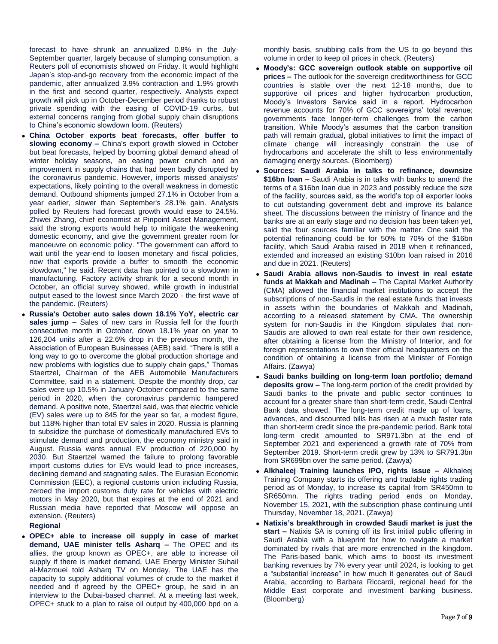forecast to have shrunk an annualized 0.8% in the July-September quarter, largely because of slumping consumption, a Reuters poll of economists showed on Friday. It would highlight Japan's stop-and-go recovery from the economic impact of the pandemic, after annualized 3.9% contraction and 1.9% growth in the first and second quarter, respectively. Analysts expect growth will pick up in October-December period thanks to robust private spending with the easing of COVID-19 curbs, but external concerns ranging from global supply chain disruptions to China's economic slowdown loom. (Reuters)

- **China October exports beat forecasts, offer buffer to slowing economy –** China's export growth slowed in October but beat forecasts, helped by booming global demand ahead of winter holiday seasons, an easing power crunch and an improvement in supply chains that had been badly disrupted by the coronavirus pandemic. However, imports missed analysts' expectations, likely pointing to the overall weakness in domestic demand. Outbound shipments jumped 27.1% in October from a year earlier, slower than September's 28.1% gain. Analysts polled by Reuters had forecast growth would ease to 24.5%. Zhiwei Zhang, chief economist at Pinpoint Asset Management, said the strong exports would help to mitigate the weakening domestic economy, and give the government greater room for manoeuvre on economic policy. "The government can afford to wait until the year-end to loosen monetary and fiscal policies, now that exports provide a buffer to smooth the economic slowdown," he said. Recent data has pointed to a slowdown in manufacturing. Factory activity shrank for a second month in October, an official survey showed, while growth in industrial output eased to the lowest since March 2020 - the first wave of the pandemic. (Reuters)
- **Russia's October auto sales down 18.1% YoY, electric car sales jump –** Sales of new cars in Russia fell for the fourth consecutive month in October, down 18.1% year on year to 126,204 units after a 22.6% drop in the previous month, the Association of European Businesses (AEB) said. "There is still a long way to go to overcome the global production shortage and new problems with logistics due to supply chain gaps," Thomas Staertzel, Chairman of the AEB Automobile Manufacturers Committee, said in a statement. Despite the monthly drop, car sales were up 10.5% in January-October compared to the same period in 2020, when the coronavirus pandemic hampered demand. A positive note, Staertzel said, was that electric vehicle (EV) sales were up to 845 for the year so far, a modest figure, but 118% higher than total EV sales in 2020. Russia is planning to subsidize the purchase of domestically manufactured EVs to stimulate demand and production, the economy ministry said in August. Russia wants annual EV production of 220,000 by 2030. But Staertzel warned the failure to prolong favorable import customs duties for EVs would lead to price increases, declining demand and stagnating sales. The Eurasian Economic Commission (EEC), a regional customs union including Russia, zeroed the import customs duty rate for vehicles with electric motors in May 2020, but that expires at the end of 2021 and Russian media have reported that Moscow will oppose an extension. (Reuters)

# **Regional**

 **OPEC+ able to increase oil supply in case of market demand, UAE minister tells Asharq –** The OPEC and its allies, the group known as OPEC+, are able to increase oil supply if there is market demand, UAE Energy Minister Suhail al-Mazrouei told Asharq TV on Monday. The UAE has the capacity to supply additional volumes of crude to the market if needed and if agreed by the OPEC+ group, he said in an interview to the Dubai-based channel. At a meeting last week, OPEC+ stuck to a plan to raise oil output by 400,000 bpd on a

monthly basis, snubbing calls from the US to go beyond this volume in order to keep oil prices in check. (Reuters)

- **Moody's: GCC sovereign outlook stable on supportive oil prices –** The outlook for the sovereign creditworthiness for GCC countries is stable over the next 12-18 months, due to supportive oil prices and higher hydrocarbon production, Moody's Investors Service said in a report. Hydrocarbon revenue accounts for 70% of GCC sovereigns' total revenue; governments face longer-term challenges from the carbon transition. While Moody's assumes that the carbon transition path will remain gradual, global initiatives to limit the impact of climate change will increasingly constrain the use of hydrocarbons and accelerate the shift to less environmentally damaging energy sources. (Bloomberg)
- **Sources: Saudi Arabia in talks to refinance, downsize \$16bn loan –** Saudi Arabia is in talks with banks to amend the terms of a \$16bn loan due in 2023 and possibly reduce the size of the facility, sources said, as the world's top oil exporter looks to cut outstanding government debt and improve its balance sheet. The discussions between the ministry of finance and the banks are at an early stage and no decision has been taken yet, said the four sources familiar with the matter. One said the potential refinancing could be for 50% to 70% of the \$16bn facility, which Saudi Arabia raised in 2018 when it refinanced, extended and increased an existing \$10bn loan raised in 2016 and due in 2021. (Reuters)
- **Saudi Arabia allows non-Saudis to invest in real estate funds at Makkah and Madinah –** The Capital Market Authority (CMA) allowed the financial market institutions to accept the subscriptions of non-Saudis in the real estate funds that invests in assets within the boundaries of Makkah and Madinah, according to a released statement by CMA. The ownership system for non-Saudis in the Kingdom stipulates that non-Saudis are allowed to own real estate for their own residence, after obtaining a license from the Ministry of Interior, and for foreign representations to own their official headquarters on the condition of obtaining a license from the Minister of Foreign Affairs. (Zawya)
- **Saudi banks building on long-term loan portfolio; demand deposits grow –** The long-term portion of the credit provided by Saudi banks to the private and public sector continues to account for a greater share than short-term credit, Saudi Central Bank data showed. The long-term credit made up of loans, advances, and discounted bills has risen at a much faster rate than short-term credit since the pre-pandemic period. Bank total long-term credit amounted to SR971.3bn at the end of September 2021 and experienced a growth rate of 70% from September 2019. Short-term credit grew by 13% to SR791.3bn from SR699bn over the same period. (Zawya)
- **Alkhaleej Training launches IPO, rights issue –** Alkhaleej Training Company starts its offering and tradable rights trading period as of Monday, to increase its capital from SR450mn to SR650mn. The rights trading period ends on Monday, November 15, 2021, with the subscription phase continuing until Thursday, November 18, 2021. (Zawya)
- **Natixis's breakthrough in crowded Saudi market is just the start –** Natixis SA is coming off its first initial public offering in Saudi Arabia with a blueprint for how to navigate a market dominated by rivals that are more entrenched in the kingdom. The Paris-based bank, which aims to boost its investment banking revenues by 7% every year until 2024, is looking to get a "substantial increase" in how much it generates out of Saudi Arabia, according to Barbara Riccardi, regional head for the Middle East corporate and investment banking business. (Bloomberg)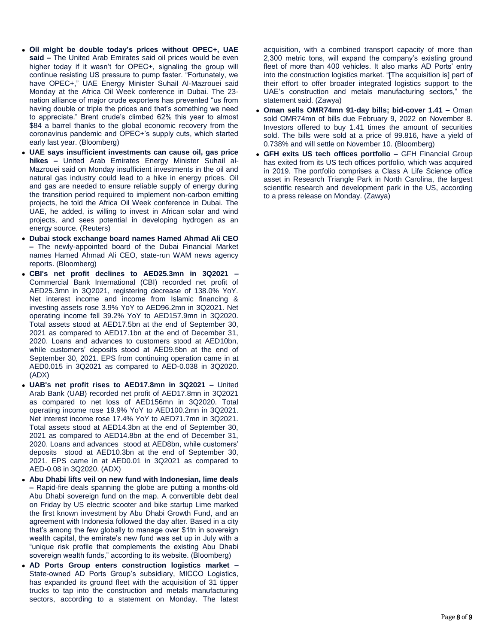- **Oil might be double today's prices without OPEC+, UAE said –** The United Arab Emirates said oil prices would be even higher today if it wasn't for OPEC+, signaling the group will continue resisting US pressure to pump faster. "Fortunately, we have OPEC+," UAE Energy Minister Suhail Al-Mazrouei said Monday at the Africa Oil Week conference in Dubai. The 23 nation alliance of major crude exporters has prevented "us from having double or triple the prices and that's something we need to appreciate." Brent crude's climbed 62% this year to almost \$84 a barrel thanks to the global economic recovery from the coronavirus pandemic and OPEC+'s supply cuts, which started early last year. (Bloomberg)
- **UAE says insufficient investments can cause oil, gas price hikes –** United Arab Emirates Energy Minister Suhail al-Mazrouei said on Monday insufficient investments in the oil and natural gas industry could lead to a hike in energy prices. Oil and gas are needed to ensure reliable supply of energy during the transition period required to implement non-carbon emitting projects, he told the Africa Oil Week conference in Dubai. The UAE, he added, is willing to invest in African solar and wind projects, and sees potential in developing hydrogen as an energy source. (Reuters)
- **Dubai stock exchange board names Hamed Ahmad Ali CEO –** The newly-appointed board of the Dubai Financial Market names Hamed Ahmad Ali CEO, state-run WAM news agency reports. (Bloomberg)
- **CBI's net profit declines to AED25.3mn in 3Q2021 –** Commercial Bank International (CBI) recorded net profit of AED25.3mn in 3Q2021, registering decrease of 138.0% YoY. Net interest income and income from Islamic financing & investing assets rose 3.9% YoY to AED96.2mn in 3Q2021. Net operating income fell 39.2% YoY to AED157.9mn in 3Q2020. Total assets stood at AED17.5bn at the end of September 30, 2021 as compared to AED17.1bn at the end of December 31, 2020. Loans and advances to customers stood at AED10bn, while customers' deposits stood at AED9.5bn at the end of September 30, 2021. EPS from continuing operation came in at AED0.015 in 3Q2021 as compared to AED-0.038 in 3Q2020. (ADX)
- **UAB's net profit rises to AED17.8mn in 3Q2021 –** United Arab Bank (UAB) recorded net profit of AED17.8mn in 3Q2021 as compared to net loss of AED156mn in 3Q2020. Total operating income rose 19.9% YoY to AED100.2mn in 3Q2021. Net interest income rose 17.4% YoY to AED71.7mn in 3Q2021. Total assets stood at AED14.3bn at the end of September 30, 2021 as compared to AED14.8bn at the end of December 31, 2020. Loans and advances stood at AED8bn, while customers' deposits stood at AED10.3bn at the end of September 30, 2021. EPS came in at AED0.01 in 3Q2021 as compared to AED-0.08 in 3Q2020. (ADX)
- **Abu Dhabi lifts veil on new fund with Indonesian, lime deals –** Rapid-fire deals spanning the globe are putting a months-old Abu Dhabi sovereign fund on the map. A convertible debt deal on Friday by US electric scooter and bike startup Lime marked the first known investment by Abu Dhabi Growth Fund, and an agreement with Indonesia followed the day after. Based in a city that's among the few globally to manage over \$1tn in sovereign wealth capital, the emirate's new fund was set up in July with a "unique risk profile that complements the existing Abu Dhabi sovereign wealth funds," according to its website. (Bloomberg)
- **AD Ports Group enters construction logistics market –** State-owned AD Ports Group's subsidiary, MICCO Logistics, has expanded its ground fleet with the acquisition of 31 tipper trucks to tap into the construction and metals manufacturing sectors, according to a statement on Monday. The latest

acquisition, with a combined transport capacity of more than 2,300 metric tons, will expand the company's existing ground fleet of more than 400 vehicles. It also marks AD Ports' entry into the construction logistics market. "[The acquisition is] part of their effort to offer broader integrated logistics support to the UAE's construction and metals manufacturing sectors," the statement said. (Zawya)

- **Oman sells OMR74mn 91-day bills; bid-cover 1.41 –** Oman sold OMR74mn of bills due February 9, 2022 on November 8. Investors offered to buy 1.41 times the amount of securities sold. The bills were sold at a price of 99.816, have a yield of 0.738% and will settle on November 10. (Bloomberg)
- **GFH exits US tech offices portfolio –** GFH Financial Group has exited from its US tech offices portfolio, which was acquired in 2019. The portfolio comprises a Class A Life Science office asset in Research Triangle Park in North Carolina, the largest scientific research and development park in the US, according to a press release on Monday. (Zawya)